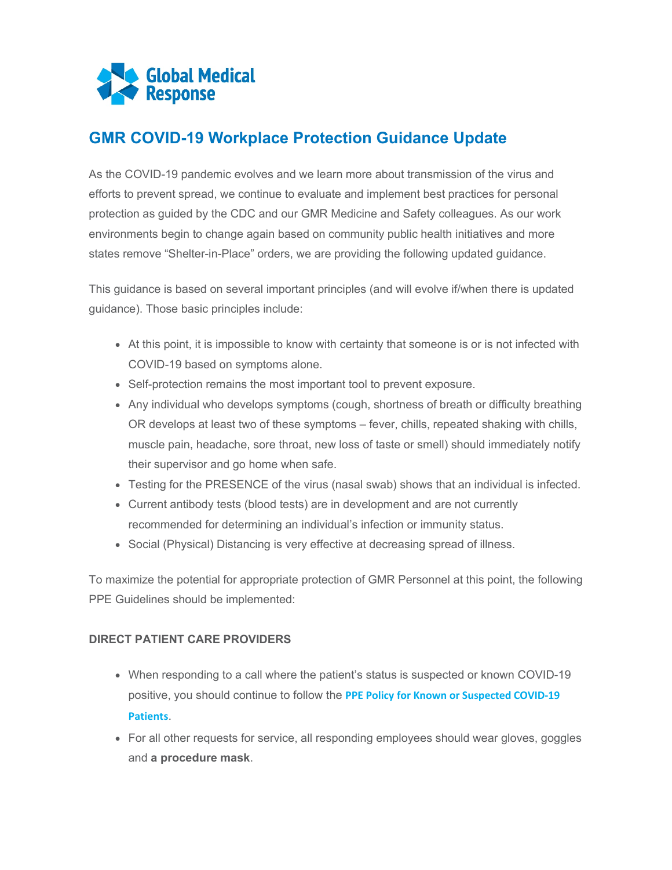

## **GMR COVID-19 Workplace Protection Guidance Update**

As the COVID-19 pandemic evolves and we learn more about transmission of the virus and efforts to prevent spread, we continue to evaluate and implement best practices for personal protection as guided by the CDC and our GMR Medicine and Safety colleagues. As our work environments begin to change again based on community public health initiatives and more states remove "Shelter-in-Place" orders, we are providing the following updated guidance.

This guidance is based on several important principles (and will evolve if/when there is updated guidance). Those basic principles include:

- At this point, it is impossible to know with certainty that someone is or is not infected with COVID-19 based on symptoms alone.
- Self-protection remains the most important tool to prevent exposure.
- Any individual who develops symptoms (cough, shortness of breath or difficulty breathing OR develops at least two of these symptoms – fever, chills, repeated shaking with chills, muscle pain, headache, sore throat, new loss of taste or smell) should immediately notify their supervisor and go home when safe.
- Testing for the PRESENCE of the virus (nasal swab) shows that an individual is infected.
- Current antibody tests (blood tests) are in development and are not currently recommended for determining an individual's infection or immunity status.
- Social (Physical) Distancing is very effective at decreasing spread of illness.

To maximize the potential for appropriate protection of GMR Personnel at this point, the following PPE Guidelines should be implemented:

## **DIRECT PATIENT CARE PROVIDERS**

- When responding to a call where the patient's status is suspected or known COVID-19 positive, you should continue to follow the **[PPE Policy for Known or Suspected COVID-19](https://link.zixcentral.com/u/a02e0e91/NCmQb32O6hGPWJc8UabuwQ?u=https%3A%2F%2Fu12507845.ct.sendgrid.net%2Fls%2Fclick%3Fupn%3DP8R8VS4oJ4EQmIPKSVbhiDG0UupbX8etdY1ZgyRL-2FZ9rbGqFNwuFXDyMEex8x4VrY-2BKXVO7exq9i-2FuBi-2B67PJ6HRwNvYURwLQHGe-2BKphn20g-2FinVY2g5VYa2wGOLHXQkd58-2BXnk9dQRtIYYgwRhF5Yu4ZtpwWbp7E2cr9J1HQqiGggnq5jTErfJTIzz4mL5jNDoS0FY9lq-2F2YpSYkdfjgj5dUITQlCZKb8H4Xm-2B37PSUyvjiFK8doCcqlFzIKYv3Geu6-2Fail2RfUa8GE5FUrlHdAsoR7scjlZKt15nZhLlYKS-2FiHYfx32jp06LT0hsHc3KQ9_94oe0hCA8TqQFeyBw4gimy3MgUcI89IfCxx31woKV7Skv6hm4NNNdfujmg7WW9l4qIJse4uXYa5pRidWng1ehqa5M0Y3Z-2BvKaDUDXlPekf63RVADSYQv5Ncn7QWg3eQ8q-2FcKNJYWZeHh6hjF8gOEzJiczzi3yywrd-2BcLlVf-2FuzC31lHyFaceHU0sGxDG711Oh4z6H9LECFlInbq8uoX9Ul-2BCPoknXRYCH0VEJhDBpEc-3D) [Patients](https://link.zixcentral.com/u/a02e0e91/NCmQb32O6hGPWJc8UabuwQ?u=https%3A%2F%2Fu12507845.ct.sendgrid.net%2Fls%2Fclick%3Fupn%3DP8R8VS4oJ4EQmIPKSVbhiDG0UupbX8etdY1ZgyRL-2FZ9rbGqFNwuFXDyMEex8x4VrY-2BKXVO7exq9i-2FuBi-2B67PJ6HRwNvYURwLQHGe-2BKphn20g-2FinVY2g5VYa2wGOLHXQkd58-2BXnk9dQRtIYYgwRhF5Yu4ZtpwWbp7E2cr9J1HQqiGggnq5jTErfJTIzz4mL5jNDoS0FY9lq-2F2YpSYkdfjgj5dUITQlCZKb8H4Xm-2B37PSUyvjiFK8doCcqlFzIKYv3Geu6-2Fail2RfUa8GE5FUrlHdAsoR7scjlZKt15nZhLlYKS-2FiHYfx32jp06LT0hsHc3KQ9_94oe0hCA8TqQFeyBw4gimy3MgUcI89IfCxx31woKV7Skv6hm4NNNdfujmg7WW9l4qIJse4uXYa5pRidWng1ehqa5M0Y3Z-2BvKaDUDXlPekf63RVADSYQv5Ncn7QWg3eQ8q-2FcKNJYWZeHh6hjF8gOEzJiczzi3yywrd-2BcLlVf-2FuzC31lHyFaceHU0sGxDG711Oh4z6H9LECFlInbq8uoX9Ul-2BCPoknXRYCH0VEJhDBpEc-3D)**.
- For all other requests for service, all responding employees should wear gloves, goggles and **a procedure mask**.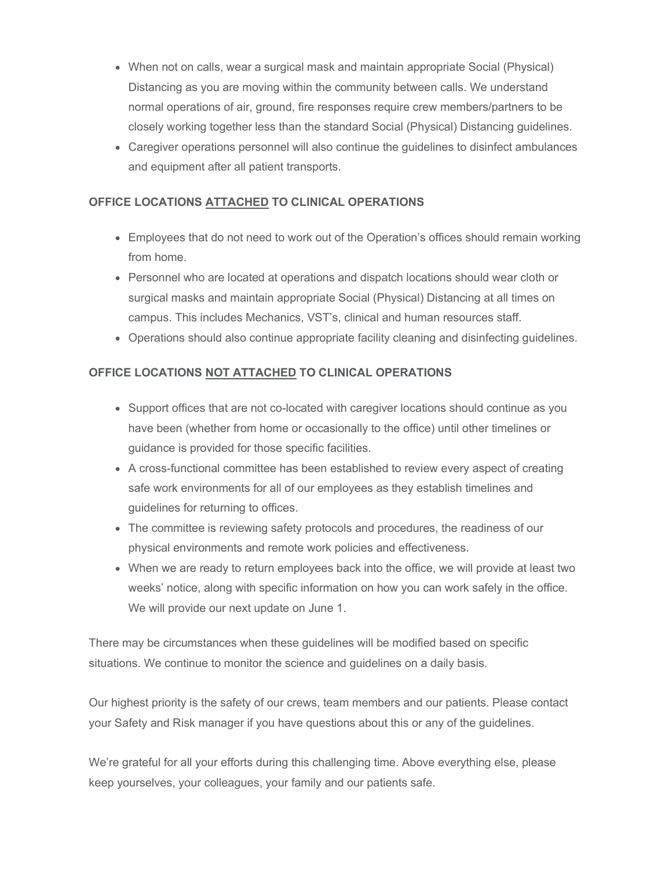- When not on calls, wear a surgical mask and maintain appropriate Social (Physical) Distancing as you are moving within the community between calls. We understand normal operations of air, ground, fire responses require crew members/partners to be closely working together less than the standard Social (Physical) Distancing guidelines.
- Caregiver operations personnel will also continue the guidelines to disinfect ambulances and equipment after all patient transports.

## **OFFICE LOCATIONS ATTACHED TO CLINICAL OPERATIONS**

- Employees that do not need to work out of the Operation's offices should remain working from home.
- Personnel who are located at operations and dispatch locations should wear cloth or surgical masks and maintain appropriate Social (Physical) Distancing at all times on campus. This includes Mechanics, VST's, clinical and human resources staff.
- Operations should also continue appropriate facility cleaning and disinfecting guidelines.

## **OFFICE LOCATIONS NOT ATTACHED TO CLINICAL OPERATIONS**

- Support offices that are not co-located with caregiver locations should continue as you have been (whether from home or occasionally to the office) until other timelines or guidance is provided for those specific facilities.
- A cross-functional committee has been established to review every aspect of creating safe work environments for all of our employees as they establish timelines and guidelines for returning to offices.
- The committee is reviewing safety protocols and procedures, the readiness of our physical environments and remote work policies and effectiveness.
- When we are ready to return employees back into the office, we will provide at least two weeks' notice, along with specific information on how you can work safely in the office. We will provide our next update on June 1.

There may be circumstances when these guidelines will be modified based on specific situations. We continue to monitor the science and guidelines on a daily basis.

Our highest priority is the safety of our crews, team members and our patients. Please contact your Safety and Risk manager if you have questions about this or any of the guidelines.

We're grateful for all your efforts during this challenging time. Above everything else, please keep yourselves, your colleagues, your family and our patients safe.